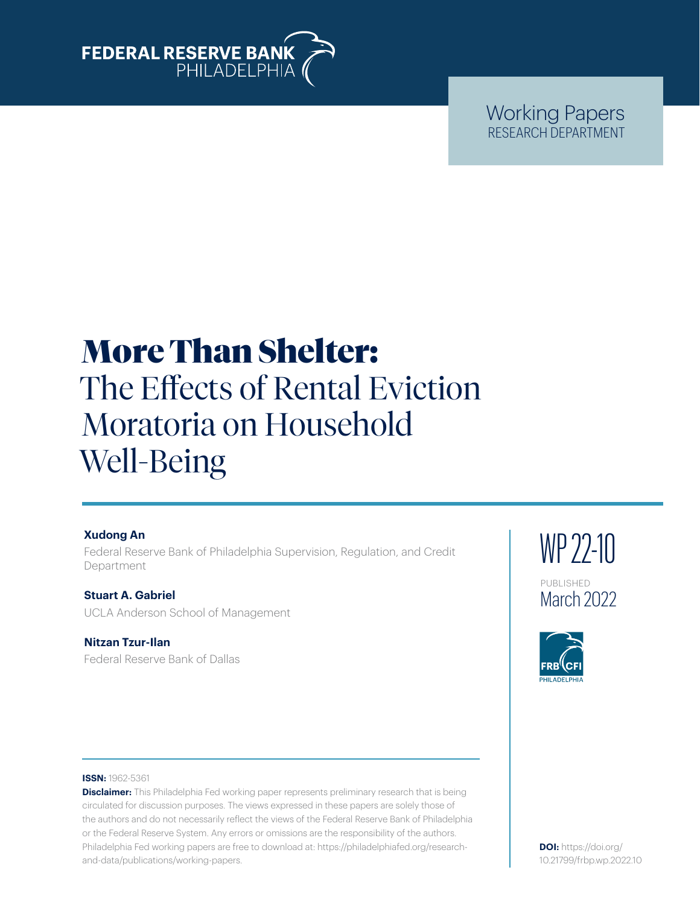

# Working Papers RESEARCH DEPARTMENT

# More Than Shelter: The Effects of Rental Eviction Moratoria on Household Well-Being

# **Xudong An**

Federal Reserve Bank of Philadelphia Supervision, Regulation, and Credit Department

**Stuart A. Gabriel** UCLA Anderson School of Management

**Nitzan Tzur-Ilan** Federal Reserve Bank of Dallas WP 22-10 PUBLISHED March 2022



#### **ISSN:** 1962-5361

**Disclaimer:** This Philadelphia Fed working paper represents preliminary research that is being circulated for discussion purposes. The views expressed in these papers are solely those of the authors and do not necessarily reflect the views of the Federal Reserve Bank of Philadelphia or the Federal Reserve System. Any errors or omissions are the responsibility of the authors. Philadelphia Fed working papers are free to download at: [https://philadelphiafed.org/research](https://philadelphiafed.org/research-and-data/publications/working-papers)[and-data/publications/working-papers](https://philadelphiafed.org/research-and-data/publications/working-papers).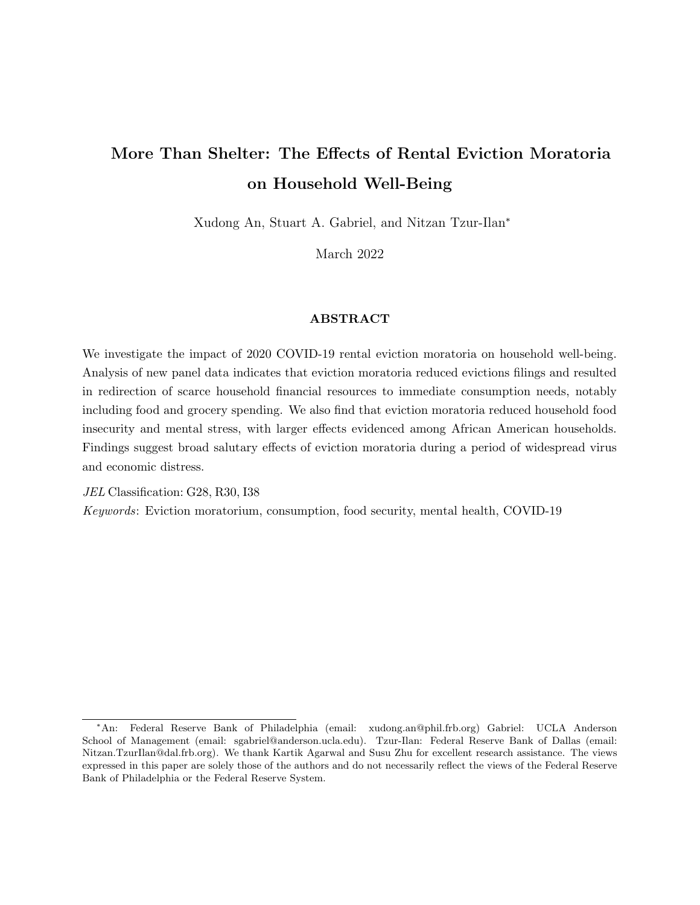# More Than Shelter: The Effects of Rental Eviction Moratoria on Household Well-Being

Xudong An, Stuart A. Gabriel, and Nitzan Tzur-Ilan<sup>∗</sup>

March 2022

#### ABSTRACT

We investigate the impact of 2020 COVID-19 rental eviction moratoria on household well-being. Analysis of new panel data indicates that eviction moratoria reduced evictions filings and resulted in redirection of scarce household financial resources to immediate consumption needs, notably including food and grocery spending. We also find that eviction moratoria reduced household food insecurity and mental stress, with larger effects evidenced among African American households. Findings suggest broad salutary effects of eviction moratoria during a period of widespread virus and economic distress.

JEL Classification: G28, R30, I38

Keywords: Eviction moratorium, consumption, food security, mental health, COVID-19

<sup>∗</sup>An: Federal Reserve Bank of Philadelphia (email: xudong.an@phil.frb.org) Gabriel: UCLA Anderson School of Management (email: sgabriel@anderson.ucla.edu). Tzur-Ilan: Federal Reserve Bank of Dallas (email: Nitzan.TzurIlan@dal.frb.org). We thank Kartik Agarwal and Susu Zhu for excellent research assistance. The views expressed in this paper are solely those of the authors and do not necessarily reflect the views of the Federal Reserve Bank of Philadelphia or the Federal Reserve System.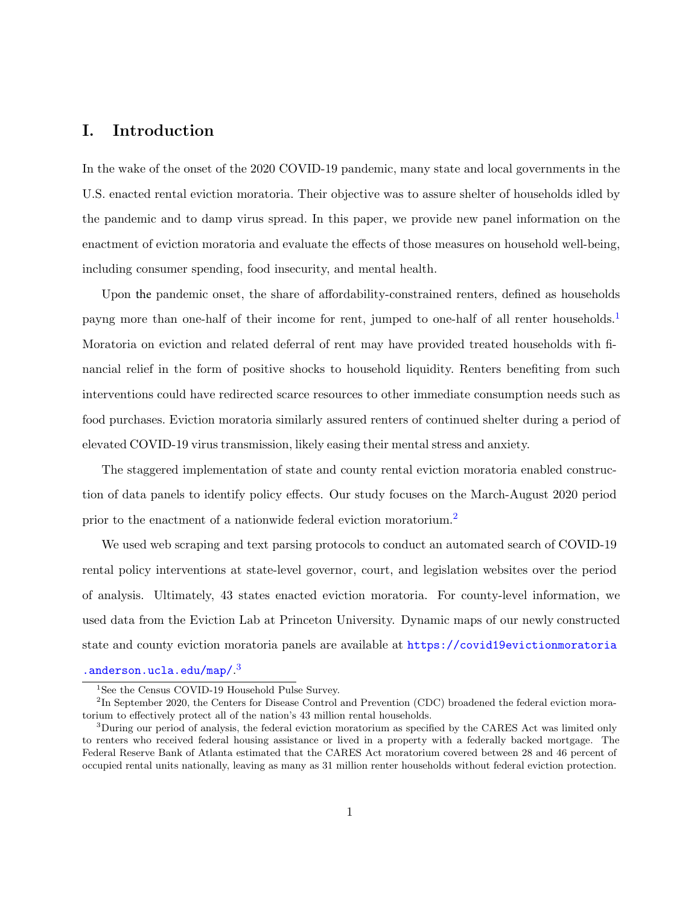# I. Introduction

In the wake of the onset of the 2020 COVID-19 pandemic, many state and local governments in the U.S. enacted rental eviction moratoria. Their objective was to assure shelter of households idled by the pandemic and to damp virus spread. In this paper, we provide new panel information on the enactment of eviction moratoria and evaluate the effects of those measures on household well-being, including consumer spending, food insecurity, and mental health.

Upon the pandemic onset, the share of affordability-constrained renters, defined as households payng more than one-half of their income for rent, jumped to one-half of all renter households.<sup>[1](#page-2-0)</sup> Moratoria on eviction and related deferral of rent may have provided treated households with financial relief in the form of positive shocks to household liquidity. Renters benefiting from such interventions could have redirected scarce resources to other immediate consumption needs such as food purchases. Eviction moratoria similarly assured renters of continued shelter during a period of elevated COVID-19 virus transmission, likely easing their mental stress and anxiety.

The staggered implementation of state and county rental eviction moratoria enabled construction of data panels to identify policy effects. Our study focuses on the March-August 2020 period prior to the enactment of a nationwide federal eviction moratorium.<sup>[2](#page-2-1)</sup>

We used web scraping and text parsing protocols to conduct an automated search of COVID-19 rental policy interventions at state-level governor, court, and legislation websites over the period of analysis. Ultimately, 43 states enacted eviction moratoria. For county-level information, we used data from the Eviction Lab at Princeton University. Dynamic maps of our newly constructed state and county eviction moratoria panels are available at [https://covid19evictionmoratoria](https://covid19evictionmoratoria.anderson.ucla.edu/map/)

[.anderson.ucla.edu/map/](https://covid19evictionmoratoria.anderson.ucla.edu/map/).[3](#page-2-2)

<span id="page-2-1"></span><span id="page-2-0"></span><sup>&</sup>lt;sup>1</sup>See the Census COVID-19 Household Pulse Survey.

<sup>&</sup>lt;sup>2</sup>In September 2020, the Centers for Disease Control and Prevention (CDC) broadened the federal eviction moratorium to effectively protect all of the nation's 43 million rental households.

<span id="page-2-2"></span><sup>&</sup>lt;sup>3</sup>During our period of analysis, the federal eviction moratorium as specified by the CARES Act was limited only to renters who received federal housing assistance or lived in a property with a federally backed mortgage. The Federal Reserve Bank of Atlanta estimated that the CARES Act moratorium covered between 28 and 46 percent of occupied rental units nationally, leaving as many as 31 million renter households without federal eviction protection.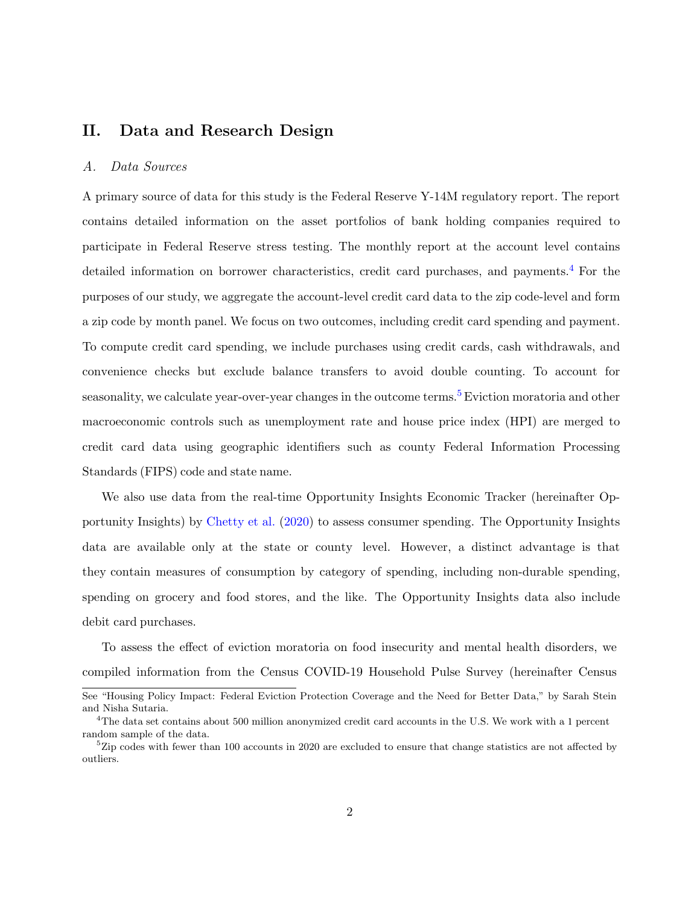# II. Data and Research Design

#### A. Data Sources

A primary source of data for this study is the Federal Reserve Y-14M regulatory report. The report contains detailed information on the asset portfolios of bank holding companies required to participate in Federal Reserve stress testing. The monthly report at the account level contains detailed information on borrower characteristics, credit card purchases, and payments.<sup>[4](#page-3-0)</sup> For the purposes of our study, we aggregate the account-level credit card data to the zip code-level and form a zip code by month panel. We focus on two outcomes, including credit card spending and payment. To compute credit card spending, we include purchases using credit cards, cash withdrawals, and convenience checks but exclude balance transfers to avoid double counting. To account for seasonality, we calculate year-over-year changes in the outcome terms.<sup>[5](#page-3-1)</sup> Eviction moratoria and other macroeconomic controls such as unemployment rate and house price index (HPI) are merged to credit card data using geographic identifiers such as county Federal Information Processing Standards (FIPS) code and state name.

We also use data from the real-time Opportunity Insights Economic Tracker (hereinafter Opportunity Insights) by [Chetty](#page-10-0) et al. [\(2020\)](#page-10-0) to assess consumer spending. The Opportunity Insights data are available only at the state or county level. However, a distinct advantage is that they contain measures of consumption by category of spending, including non-durable spending, spending on grocery and food stores, and the like. The Opportunity Insights data also include debit card purchases.

To assess the effect of eviction moratoria on food insecurity and mental health disorders, we compiled information from the Census COVID-19 Household Pulse Survey (hereinafter Census

See "Housing Policy Impact: Federal Eviction Protection Coverage and the Need for Better Data," by Sarah Stein and Nisha Sutaria.

<span id="page-3-0"></span><sup>4</sup>The data set contains about 500 million anonymized credit card accounts in the U.S. We work with a 1 percent random sample of the data.

<span id="page-3-1"></span> ${}^{5}$ Zip codes with fewer than 100 accounts in 2020 are excluded to ensure that change statistics are not affected by outliers.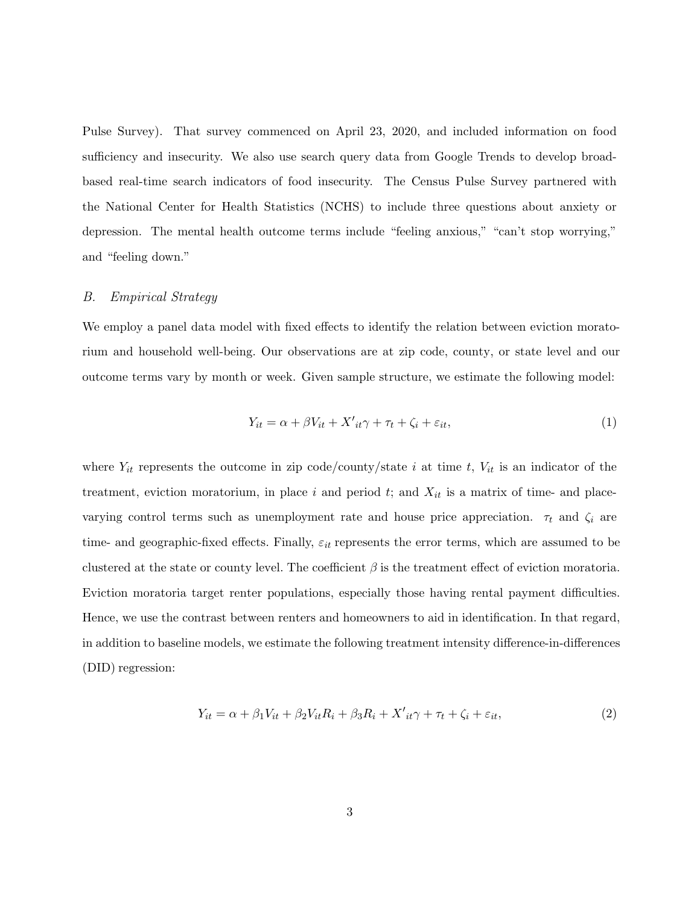Pulse Survey). That survey commenced on April 23, 2020, and included information on food sufficiency and insecurity. We also use search query data from Google Trends to develop broadbased real-time search indicators of food insecurity. The Census Pulse Survey partnered with the National Center for Health Statistics (NCHS) to include three questions about anxiety or depression. The mental health outcome terms include "feeling anxious," "can't stop worrying," and "feeling down."

#### B. Empirical Strategy

We employ a panel data model with fixed effects to identify the relation between eviction moratorium and household well-being. Our observations are at zip code, county, or state level and our outcome terms vary by month or week. Given sample structure, we estimate the following model:

$$
Y_{it} = \alpha + \beta V_{it} + X'_{it}\gamma + \tau_t + \zeta_i + \varepsilon_{it},\tag{1}
$$

where  $Y_{it}$  represents the outcome in zip code/county/state i at time t,  $V_{it}$  is an indicator of the treatment, eviction moratorium, in place i and period t; and  $X_{it}$  is a matrix of time- and placevarying control terms such as unemployment rate and house price appreciation.  $\tau_t$  and  $\zeta_i$  are time- and geographic-fixed effects. Finally,  $\varepsilon_{it}$  represents the error terms, which are assumed to be clustered at the state or county level. The coefficient  $\beta$  is the treatment effect of eviction moratoria. Eviction moratoria target renter populations, especially those having rental payment difficulties. Hence, we use the contrast between renters and homeowners to aid in identification. In that regard, in addition to baseline models, we estimate the following treatment intensity difference-in-differences (DID) regression:

$$
Y_{it} = \alpha + \beta_1 V_{it} + \beta_2 V_{it} R_i + \beta_3 R_i + X'_{it} \gamma + \tau_t + \zeta_i + \varepsilon_{it},\tag{2}
$$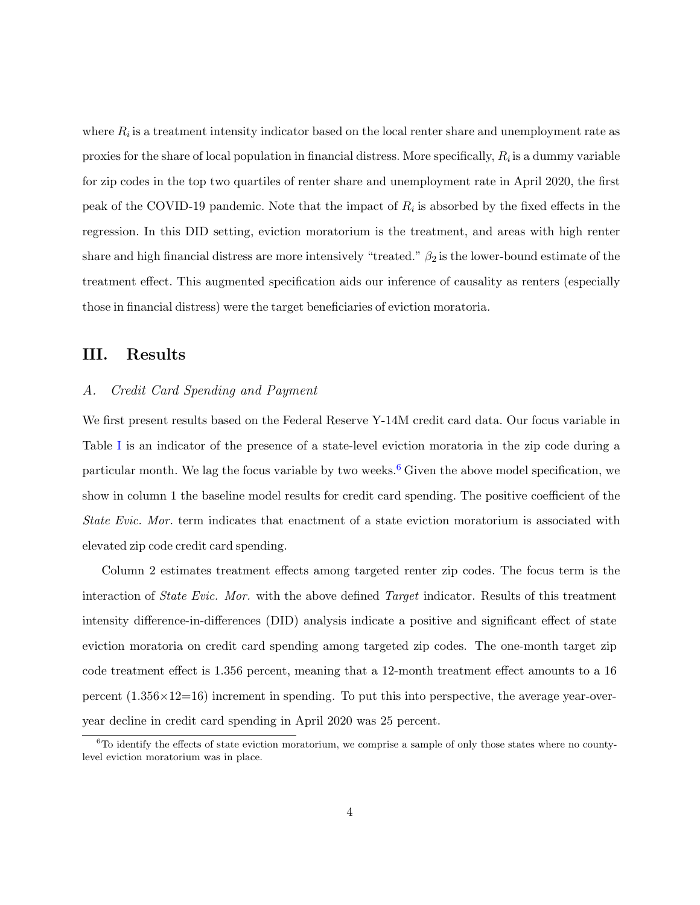where  $R_i$  is a treatment intensity indicator based on the local renter share and unemployment rate as proxies for the share of local population in financial distress. More specifically,  $R_i$  is a dummy variable for zip codes in the top two quartiles of renter share and unemployment rate in April 2020, the first peak of the COVID-19 pandemic. Note that the impact of  $R_i$  is absorbed by the fixed effects in the regression. In this DID setting, eviction moratorium is the treatment, and areas with high renter share and high financial distress are more intensively "treated."  $\beta_2$  is the lower-bound estimate of the treatment effect. This augmented specification aids our inference of causality as renters (especially those in financial distress) were the target beneficiaries of eviction moratoria.

### III. Results

#### A. Credit Card Spending and Payment

We first present results based on the Federal Reserve Y-14M credit card data. Our focus variable in Table [I](#page-6-0) is an indicator of the presence of a state-level eviction moratoria in the zip code during a particular month. We lag the focus variable by two weeks. [6](#page-5-0) Given the above model specification, we show in column 1 the baseline model results for credit card spending. The positive coefficient of the State Evic. Mor. term indicates that enactment of a state eviction moratorium is associated with elevated zip code credit card spending.

Column 2 estimates treatment effects among targeted renter zip codes. The focus term is the interaction of State Evic. Mor. with the above defined Target indicator. Results of this treatment intensity difference-in-differences (DID) analysis indicate a positive and significant effect of state eviction moratoria on credit card spending among targeted zip codes. The one-month target zip code treatment effect is 1.356 percent, meaning that a 12-month treatment effect amounts to a 16 percent  $(1.356\times12=16)$  increment in spending. To put this into perspective, the average year-overyear decline in credit card spending in April 2020 was 25 percent.

<span id="page-5-0"></span> ${}^{6}$ To identify the effects of state eviction moratorium, we comprise a sample of only those states where no countylevel eviction moratorium was in place.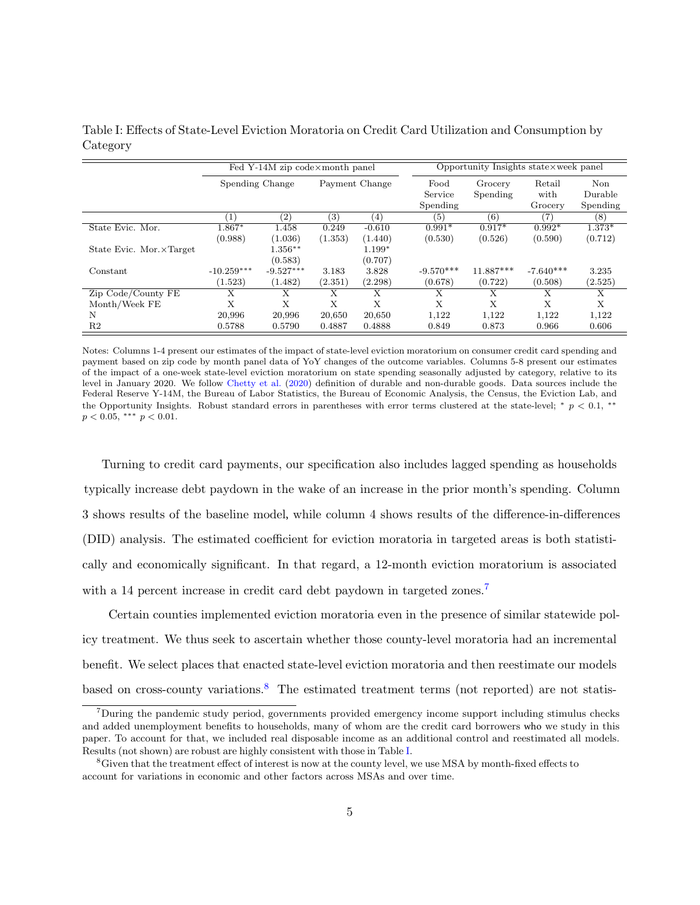|                          | Fed Y-14M zip code×month panel |                   |                   |          | Opportunity Insights state×week panel |           |             |          |
|--------------------------|--------------------------------|-------------------|-------------------|----------|---------------------------------------|-----------|-------------|----------|
|                          | Spending Change                |                   | Payment Change    |          | Food                                  | Grocery   | Retail      | Non      |
|                          |                                |                   |                   |          | Service                               | Spending  | with        | Durable  |
|                          |                                |                   |                   |          | Spending                              |           | Grocery     | Spending |
|                          | $\left(1\right)$               | $\left( 2\right)$ | $\left( 3\right)$ | (4)      | (5)                                   | (6)       | (7)         | (8)      |
| State Evic. Mor.         | 1.867*                         | 1.458             | 0.249             | $-0.610$ | $0.991*$                              | $0.917*$  | $0.992*$    | $1.373*$ |
|                          | (0.988)                        | (1.036)           | (1.353)           | (1.440)  | (0.530)                               | (0.526)   | (0.590)     | (0.712)  |
| State Evic. Mor. XTarget |                                | $1.356***$        |                   | $1.199*$ |                                       |           |             |          |
|                          |                                | (0.583)           |                   | (0.707)  |                                       |           |             |          |
| Constant                 | $-10.259***$                   | $-9.527***$       | 3.183             | 3.828    | $-9.570***$                           | 11.887*** | $-7.640***$ | 3.235    |
|                          | (1.523)                        | (1.482)           | (2.351)           | (2.298)  | (0.678)                               | (0.722)   | (0.508)     | (2.525)  |
| Zip Code/County FE       | Х                              | X                 | Х                 | Х        | X                                     | Х         | X           | X        |
| Month/Week FE            | Х                              | X                 | X                 | X        | X                                     | X         | X           | X        |
| N                        | 20,996                         | 20,996            | 20,650            | 20,650   | 1,122                                 | 1,122     | 1,122       | 1,122    |
| R2                       | 0.5788                         | 0.5790            | 0.4887            | 0.4888   | 0.849                                 | 0.873     | 0.966       | 0.606    |

<span id="page-6-0"></span>Table I: Effects of State-Level Eviction Moratoria on Credit Card Utilization and Consumption by Category

Notes: Columns 1-4 present our estimates of the impact of state-level eviction moratorium on consumer credit card spending and payment based on zip code by month panel data of YoY changes of the outcome variables. Columns 5-8 present our estimates of the impact of a one-week state-level eviction moratorium on state spending seasonally adjusted by category, relative to its level in January 2020. We follow [Chetty](#page-10-0) et al. [\(2020\)](#page-10-0) definition of durable and non-durable goods. Data sources include the Federal Reserve Y-14M, the Bureau of Labor Statistics, the Bureau of Economic Analysis, the Census, the Eviction Lab, and the Opportunity Insights. Robust standard errors in parentheses with error terms clustered at the state-level; \*  $p < 0.1$ , \*\*  $p < 0.05, \; ^{***}$   $p < 0.01.$ 

Turning to credit card payments, our specification also includes lagged spending as households typically increase debt paydown in the wake of an increase in the prior month's spending. Column 3 shows results of the baseline model, while column 4 shows results of the difference-in-differences (DID) analysis. The estimated coefficient for eviction moratoria in targeted areas is both statistically and economically significant. In that regard, a 12-month eviction moratorium is associated with a 14 percent increase in credit card debt paydown in targeted zones.<sup>[7](#page-6-1)</sup>

Certain counties implemented eviction moratoria even in the presence of similar statewide policy treatment. We thus seek to ascertain whether those county-level moratoria had an incremental benefit. We select places that enacted state-level eviction moratoria and then reestimate our models based on cross-county variations.<sup>[8](#page-6-2)</sup> The estimated treatment terms (not reported) are not statis-

<span id="page-6-1"></span><sup>7</sup>During the pandemic study period, governments provided emergency income support including stimulus checks and added unemployment benefits to households, many of whom are the credit card borrowers who we study in this paper. To account for that, we included real disposable income as an additional control and reestimated all models. Results (not shown) are robust are highly consistent with those in Table I.

<span id="page-6-2"></span><sup>8</sup>Given that the treatment effect of interest is now at the county level, w[e](#page-6-0) use MSA by month-fixed effects to account for variations in economic and other factors across MSAs and over time.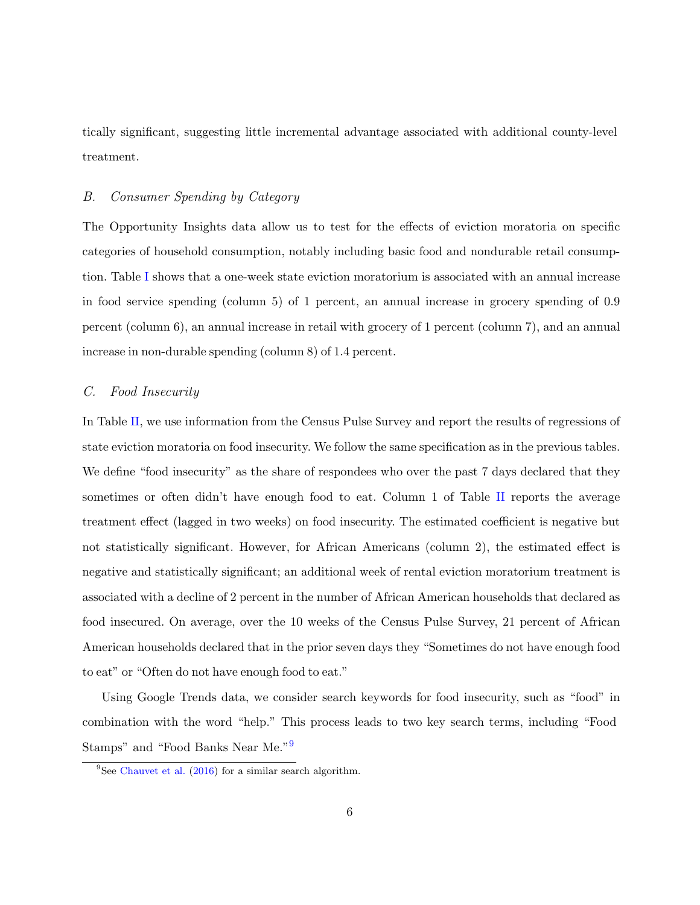tically significant, suggesting little incremental advantage associated with additional county-level treatment.

#### B. Consumer Spending by Category

The Opportunity Insights data allow us to test for the effects of eviction moratoria on specific categories of household consumption, notably including basic food and nondurable retail consumption. Table [I](#page-6-0) shows that a one-week state eviction moratorium is associated with an annual increase in food service spending (column 5) of 1 percent, an annual increase in grocery spending of 0.9 percent (column 6), an annual increase in retail with grocery of 1 percent (column 7), and an annual increase in non-durable spending (column 8) of 1.4 percent.

#### C. Food Insecurity

In Table [II,](#page-8-0) we use information from the Census Pulse Survey and report the results of regressions of state eviction moratoria on food insecurity. We follow the same specification as in the previous tables. We define "food insecurity" as the share of respondees who over the past 7 days declared that they sometimes or often didn't have enough food to eat. Column 1 of Table [II](#page-8-0) reports the average treatment effect (lagged in two weeks) on food insecurity. The estimated coefficient is negative but not statistically significant. However, for African Americans (column 2), the estimated effect is negative and statistically significant; an additional week of rental eviction moratorium treatment is associated with a decline of 2 percent in the number of African American households that declared as food insecured. On average, over the 10 weeks of the Census Pulse Survey, 21 percent of African American households declared that in the prior seven days they "Sometimes do not have enough food to eat" or "Often do not have enough food to eat."

Using Google Trends data, we consider search keywords for food insecurity, such as "food" in combination with the word "help." This process leads to two key search terms, including "Food Stamps" and "Food Banks Near Me.["](#page-7-0)<sup>9</sup>

<span id="page-7-0"></span><sup>&</sup>lt;sup>9</sup>See [Chauvet et al.](#page-10-1)  $(2016)$  for a similar search algorithm.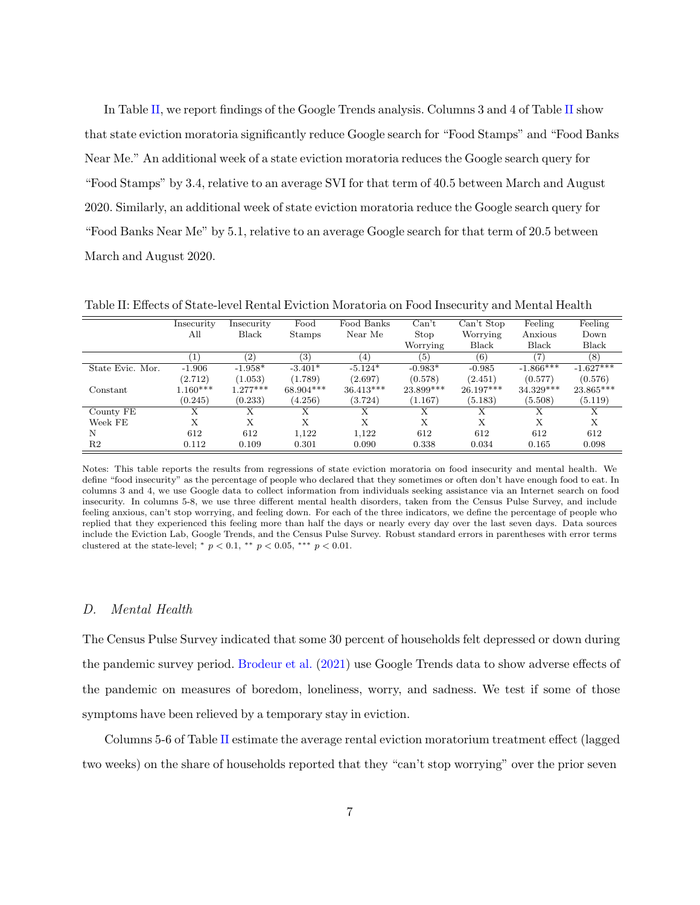In Table [II,](#page-8-0) we report findings of the Google Trends analysis. Columns 3 and 4 of Table [II](#page-8-0) show that state eviction moratoria significantly reduce Google search for "Food Stamps" and "Food Banks Near Me." An additional week of a state eviction moratoria reduces the Google search query for "Food Stamps" by 3.4, relative to an average SVI for that term of 40.5 between March and August 2020. Similarly, an additional week of state eviction moratoria reduce the Google search query for "Food Banks Near Me" by 5.1, relative to an average Google search for that term of 20.5 between March and August 2020.

|                  | Insecurity | Insecurity | Food          | Food Banks       | Can't     | Can't Stop  | Feeling     | Feeling      |
|------------------|------------|------------|---------------|------------------|-----------|-------------|-------------|--------------|
|                  | All        | Black      | <b>Stamps</b> | Near Me          | Stop      | Worrying    | Anxious     | Down         |
|                  |            |            |               |                  | Worrying  | Black       | Black       | <b>Black</b> |
|                  |            | (2)        | (3)           | $\left(4\right)$ | (5)       | (6)         | (7)         | (8)          |
| State Evic. Mor. | $-1.906$   | $-1.958*$  | $-3.401*$     | $-5.124*$        | $-0.983*$ | $-0.985$    | $-1.866***$ | $-1.627***$  |
|                  | (2.712)    | (1.053)    | (1.789)       | (2.697)          | (0.578)   | (2.451)     | (0.577)     | (0.576)      |
| Constant         | $1.160***$ | $1.277***$ | $68.904***$   | $36.413***$      | 23.899*** | $26.197***$ | $34.329***$ | 23.865***    |
|                  | (0.245)    | (0.233)    | (4.256)       | (3.724)          | (1.167)   | (5.183)     | (5.508)     | (5.119)      |
| County FE        | Х          | X          | X             | Х                | X         | Х           | X           | X            |
| Week FE          | Х          | X          | X             | X                | X         | X           | X           | X            |
| N                | 612        | 612        | 1,122         | 1,122            | 612       | 612         | 612         | 612          |
| R2               | 0.112      | 0.109      | 0.301         | 0.090            | 0.338     | 0.034       | 0.165       | 0.098        |

<span id="page-8-0"></span>Table II: Effects of State-level Rental Eviction Moratoria on Food Insecurity and Mental Health

Notes: This table reports the results from regressions of state eviction moratoria on food insecurity and mental health. We define "food insecurity" as the percentage of people who declared that they sometimes or often don't have enough food to eat. In columns 3 and 4, we use Google data to collect information from individuals seeking assistance via an Internet search on food insecurity. In columns 5-8, we use three different mental health disorders, taken from the Census Pulse Survey, and include feeling anxious, can't stop worrying, and feeling down. For each of the three indicators, we define the percentage of people who replied that they experienced this feeling more than half the days or nearly every day over the last seven days. Data sources include the Eviction Lab, Google Trends, and the Census Pulse Survey. Robust standard errors in parentheses with error terms clustered at the state-level; \*  $p < 0.1$ , \*\*  $p < 0.05$ , \*\*\*  $p < 0.01$ .

#### D. Mental Health

The Census Pulse Survey indicated that some 30 percent of households felt depressed or down during the pandemic survey period. [Brodeur](#page-10-2) et al. [\(2021\)](#page-10-2) use Google Trends data to show adverse effects of the pandemic on measures of boredom, loneliness, worry, and sadness. We test if some of those symptoms have been relieved by a temporary stay in eviction.

Columns 5-6 of Table [II](#page-8-0) estimate the average rental eviction moratorium treatment effect (lagged two weeks) on the share of households reported that they "can't stop worrying" over the prior seven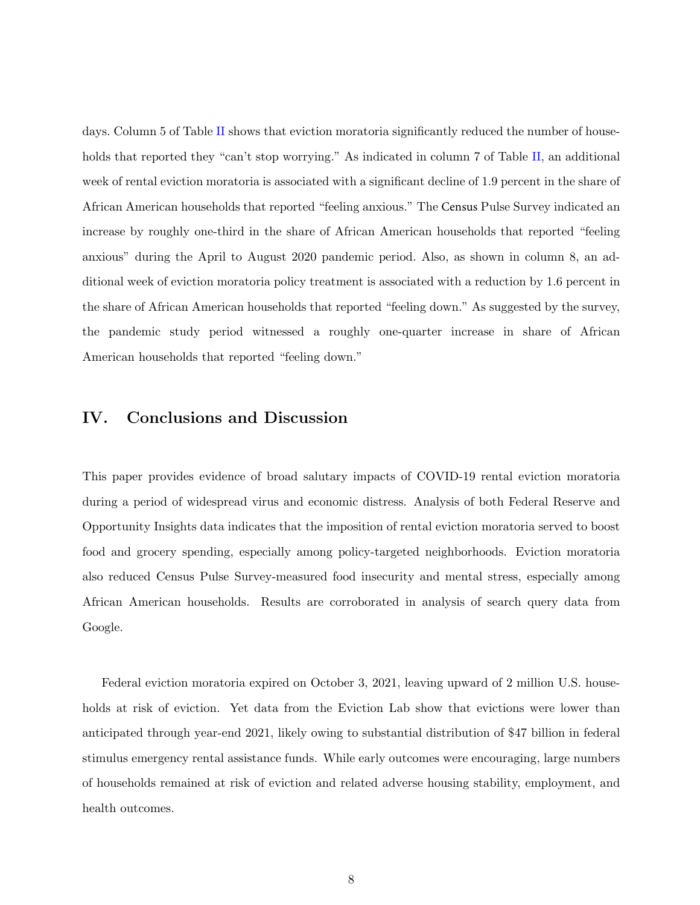days. Column 5 of Table [II](#page-8-0) shows that eviction moratoria significantly reduced the number of house-holds that reported they "can't stop worrying." As indicated in column 7 of Table [II,](#page-8-0) an additional week of rental eviction moratoria is associated with a significant decline of 1.9 percent in the share of African American households that reported "feeling anxious." The Census Pulse Survey indicated an increase by roughly one-third in the share of African American households that reported "feeling anxious" during the April to August 2020 pandemic period. Also, as shown in column 8, an additional week of eviction moratoria policy treatment is associated with a reduction by 1.6 percent in the share of African American households that reported "feeling down." As suggested by the survey, the pandemic study period witnessed a roughly one-quarter increase in share of African American households that reported "feeling down."

# IV. Conclusions and Discussion

This paper provides evidence of broad salutary impacts of COVID-19 rental eviction moratoria during a period of widespread virus and economic distress. Analysis of both Federal Reserve and Opportunity Insights data indicates that the imposition of rental eviction moratoria served to boost food and grocery spending, especially among policy-targeted neighborhoods. Eviction moratoria also reduced Census Pulse Survey-measured food insecurity and mental stress, especially among African American households. Results are corroborated in analysis of search query data from Google.

Federal eviction moratoria expired on October 3, 2021, leaving upward of 2 million U.S. households at risk of eviction. Yet data from the Eviction Lab show that evictions were lower than anticipated through year-end 2021, likely owing to substantial distribution of \$47 billion in federal stimulus emergency rental assistance funds. While early outcomes were encouraging, large numbers of households remained at risk of eviction and related adverse housing stability, employment, and health outcomes.